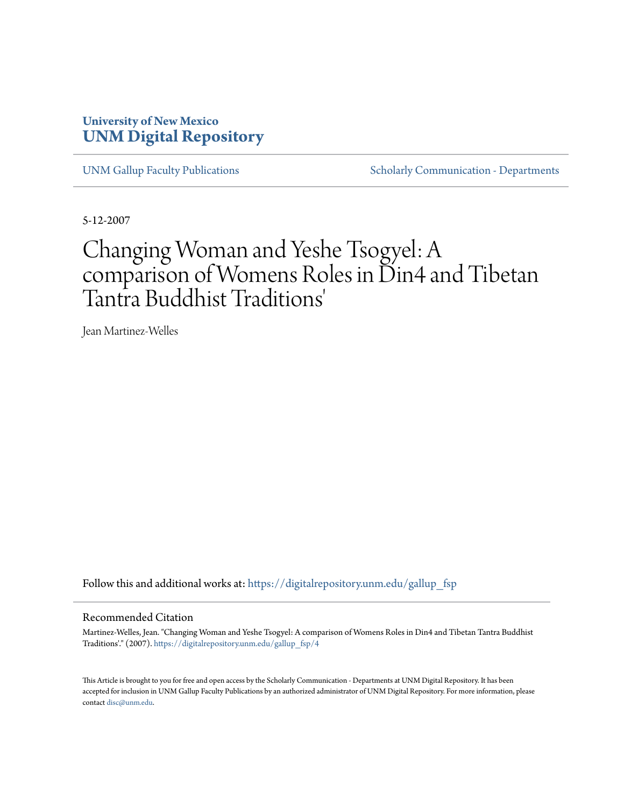### **University of New Mexico [UNM Digital Repository](https://digitalrepository.unm.edu?utm_source=digitalrepository.unm.edu%2Fgallup_fsp%2F4&utm_medium=PDF&utm_campaign=PDFCoverPages)**

[UNM Gallup Faculty Publications](https://digitalrepository.unm.edu/gallup_fsp?utm_source=digitalrepository.unm.edu%2Fgallup_fsp%2F4&utm_medium=PDF&utm_campaign=PDFCoverPages) [Scholarly Communication - Departments](https://digitalrepository.unm.edu/departments?utm_source=digitalrepository.unm.edu%2Fgallup_fsp%2F4&utm_medium=PDF&utm_campaign=PDFCoverPages)

5-12-2007

# Changing Woman and Yeshe Tsogyel: A comparison of Womens Roles in Din4 and Tibetan Tantra Buddhist Traditions'

Jean Martinez-Welles

Follow this and additional works at: [https://digitalrepository.unm.edu/gallup\\_fsp](https://digitalrepository.unm.edu/gallup_fsp?utm_source=digitalrepository.unm.edu%2Fgallup_fsp%2F4&utm_medium=PDF&utm_campaign=PDFCoverPages)

#### Recommended Citation

Martinez-Welles, Jean. "Changing Woman and Yeshe Tsogyel: A comparison of Womens Roles in Din4 and Tibetan Tantra Buddhist Traditions'." (2007). [https://digitalrepository.unm.edu/gallup\\_fsp/4](https://digitalrepository.unm.edu/gallup_fsp/4?utm_source=digitalrepository.unm.edu%2Fgallup_fsp%2F4&utm_medium=PDF&utm_campaign=PDFCoverPages)

This Article is brought to you for free and open access by the Scholarly Communication - Departments at UNM Digital Repository. It has been accepted for inclusion in UNM Gallup Faculty Publications by an authorized administrator of UNM Digital Repository. For more information, please contact [disc@unm.edu.](mailto:disc@unm.edu)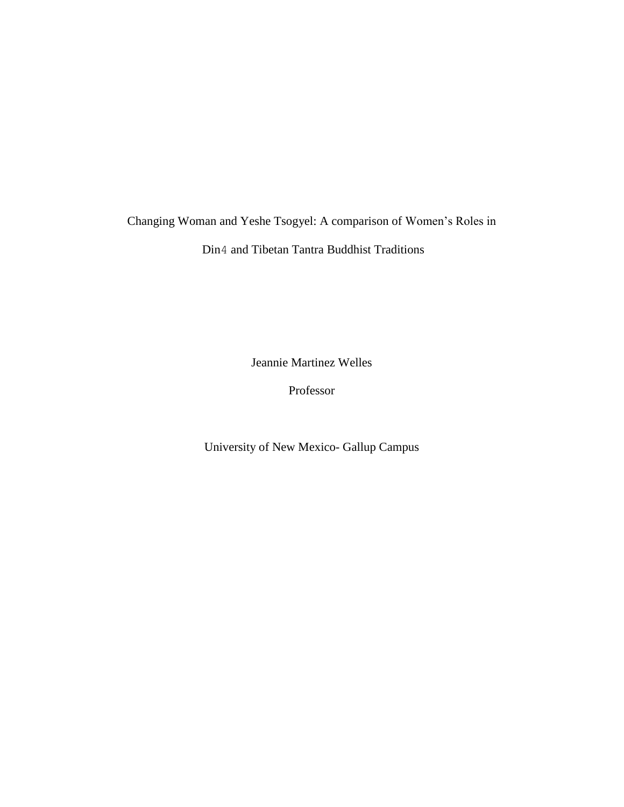## Changing Woman and Yeshe Tsogyel: A comparison of Women's Roles in

Din4 and Tibetan Tantra Buddhist Traditions

Jeannie Martinez Welles

Professor

University of New Mexico- Gallup Campus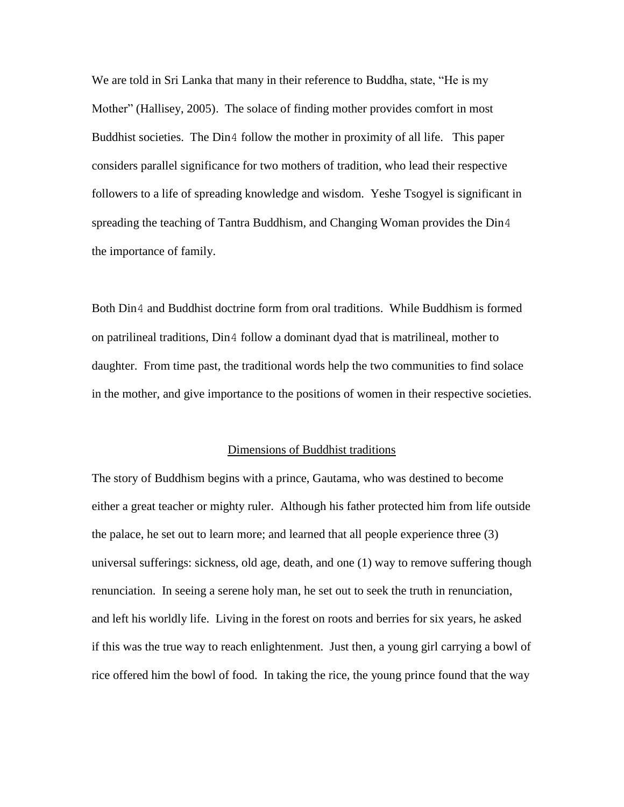We are told in Sri Lanka that many in their reference to Buddha, state, "He is my Mother" (Hallisey, 2005). The solace of finding mother provides comfort in most Buddhist societies. The Din4 follow the mother in proximity of all life. This paper considers parallel significance for two mothers of tradition, who lead their respective followers to a life of spreading knowledge and wisdom. Yeshe Tsogyel is significant in spreading the teaching of Tantra Buddhism, and Changing Woman provides the Din4 the importance of family.

Both Din4 and Buddhist doctrine form from oral traditions. While Buddhism is formed on patrilineal traditions, Din4 follow a dominant dyad that is matrilineal, mother to daughter. From time past, the traditional words help the two communities to find solace in the mother, and give importance to the positions of women in their respective societies.

#### Dimensions of Buddhist traditions

The story of Buddhism begins with a prince, Gautama, who was destined to become either a great teacher or mighty ruler. Although his father protected him from life outside the palace, he set out to learn more; and learned that all people experience three (3) universal sufferings: sickness, old age, death, and one (1) way to remove suffering though renunciation. In seeing a serene holy man, he set out to seek the truth in renunciation, and left his worldly life. Living in the forest on roots and berries for six years, he asked if this was the true way to reach enlightenment. Just then, a young girl carrying a bowl of rice offered him the bowl of food. In taking the rice, the young prince found that the way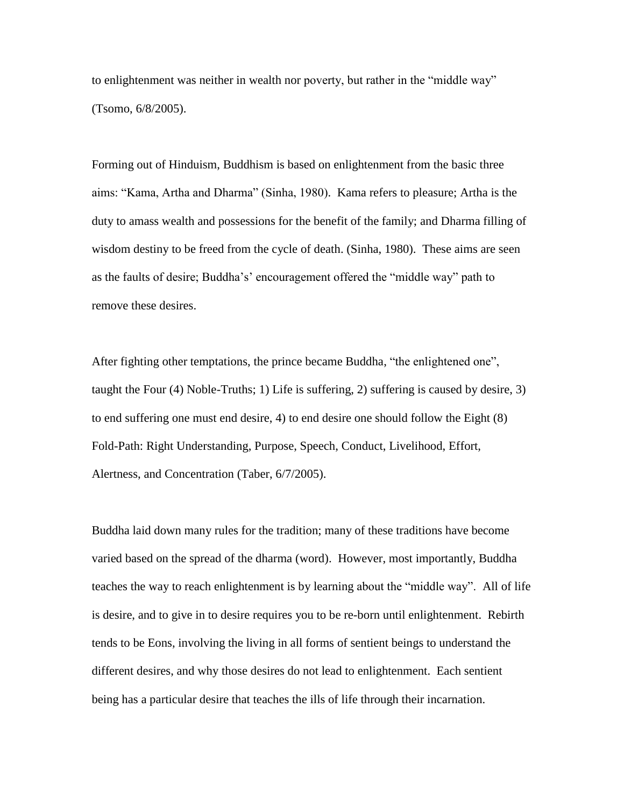to enlightenment was neither in wealth nor poverty, but rather in the "middle way" (Tsomo, 6/8/2005).

Forming out of Hinduism, Buddhism is based on enlightenment from the basic three aims: "Kama, Artha and Dharma" (Sinha, 1980). Kama refers to pleasure; Artha is the duty to amass wealth and possessions for the benefit of the family; and Dharma filling of wisdom destiny to be freed from the cycle of death. (Sinha, 1980). These aims are seen as the faults of desire; Buddha's' encouragement offered the "middle way" path to remove these desires.

After fighting other temptations, the prince became Buddha, "the enlightened one", taught the Four (4) Noble-Truths; 1) Life is suffering, 2) suffering is caused by desire, 3) to end suffering one must end desire, 4) to end desire one should follow the Eight (8) Fold-Path: Right Understanding, Purpose, Speech, Conduct, Livelihood, Effort, Alertness, and Concentration (Taber, 6/7/2005).

Buddha laid down many rules for the tradition; many of these traditions have become varied based on the spread of the dharma (word). However, most importantly, Buddha teaches the way to reach enlightenment is by learning about the "middle way". All of life is desire, and to give in to desire requires you to be re-born until enlightenment. Rebirth tends to be Eons, involving the living in all forms of sentient beings to understand the different desires, and why those desires do not lead to enlightenment. Each sentient being has a particular desire that teaches the ills of life through their incarnation.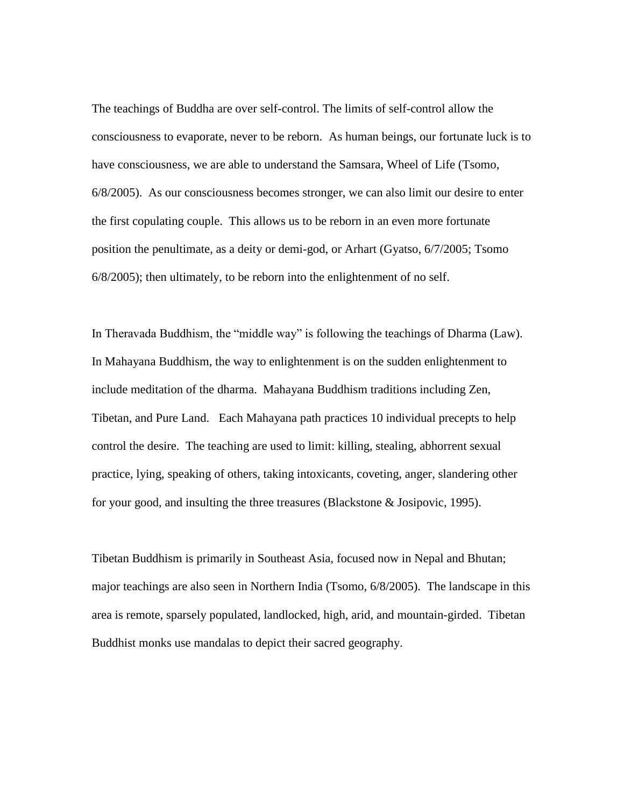The teachings of Buddha are over self-control. The limits of self-control allow the consciousness to evaporate, never to be reborn. As human beings, our fortunate luck is to have consciousness, we are able to understand the Samsara, Wheel of Life (Tsomo, 6/8/2005). As our consciousness becomes stronger, we can also limit our desire to enter the first copulating couple. This allows us to be reborn in an even more fortunate position the penultimate, as a deity or demi-god, or Arhart (Gyatso, 6/7/2005; Tsomo 6/8/2005); then ultimately, to be reborn into the enlightenment of no self.

In Theravada Buddhism, the "middle way" is following the teachings of Dharma (Law). In Mahayana Buddhism, the way to enlightenment is on the sudden enlightenment to include meditation of the dharma. Mahayana Buddhism traditions including Zen, Tibetan, and Pure Land. Each Mahayana path practices 10 individual precepts to help control the desire. The teaching are used to limit: killing, stealing, abhorrent sexual practice, lying, speaking of others, taking intoxicants, coveting, anger, slandering other for your good, and insulting the three treasures (Blackstone & Josipovic, 1995).

Tibetan Buddhism is primarily in Southeast Asia, focused now in Nepal and Bhutan; major teachings are also seen in Northern India (Tsomo, 6/8/2005). The landscape in this area is remote, sparsely populated, landlocked, high, arid, and mountain-girded. Tibetan Buddhist monks use mandalas to depict their sacred geography.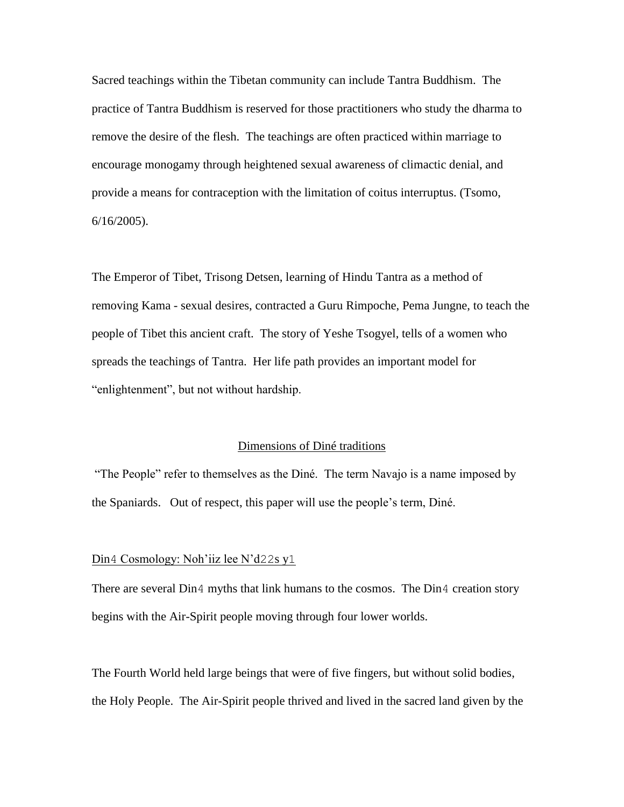Sacred teachings within the Tibetan community can include Tantra Buddhism. The practice of Tantra Buddhism is reserved for those practitioners who study the dharma to remove the desire of the flesh. The teachings are often practiced within marriage to encourage monogamy through heightened sexual awareness of climactic denial, and provide a means for contraception with the limitation of coitus interruptus. (Tsomo, 6/16/2005).

The Emperor of Tibet, Trisong Detsen, learning of Hindu Tantra as a method of removing Kama - sexual desires, contracted a Guru Rimpoche, Pema Jungne, to teach the people of Tibet this ancient craft. The story of Yeshe Tsogyel, tells of a women who spreads the teachings of Tantra. Her life path provides an important model for "enlightenment", but not without hardship.

#### Dimensions of Diné traditions

"The People" refer to themselves as the Diné. The term Navajo is a name imposed by the Spaniards. Out of respect, this paper will use the people's term, Diné.

#### Din4 Cosmology: Noh'iiz lee N'd22s y1

There are several Din4 myths that link humans to the cosmos. The Din4 creation story begins with the Air-Spirit people moving through four lower worlds.

The Fourth World held large beings that were of five fingers, but without solid bodies, the Holy People. The Air-Spirit people thrived and lived in the sacred land given by the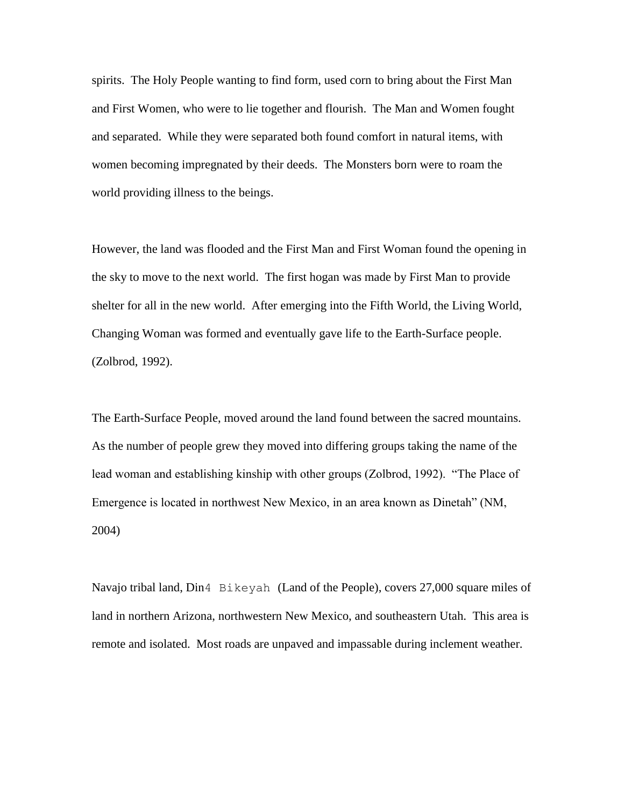spirits. The Holy People wanting to find form, used corn to bring about the First Man and First Women, who were to lie together and flourish. The Man and Women fought and separated. While they were separated both found comfort in natural items, with women becoming impregnated by their deeds. The Monsters born were to roam the world providing illness to the beings.

However, the land was flooded and the First Man and First Woman found the opening in the sky to move to the next world. The first hogan was made by First Man to provide shelter for all in the new world. After emerging into the Fifth World, the Living World, Changing Woman was formed and eventually gave life to the Earth-Surface people. (Zolbrod, 1992).

The Earth-Surface People, moved around the land found between the sacred mountains. As the number of people grew they moved into differing groups taking the name of the lead woman and establishing kinship with other groups (Zolbrod, 1992). "The Place of Emergence is located in northwest New Mexico, in an area known as Dinetah" (NM, 2004)

Navajo tribal land, Din4 Bikeyah (Land of the People), covers 27,000 square miles of land in northern Arizona, northwestern New Mexico, and southeastern Utah. This area is remote and isolated. Most roads are unpaved and impassable during inclement weather.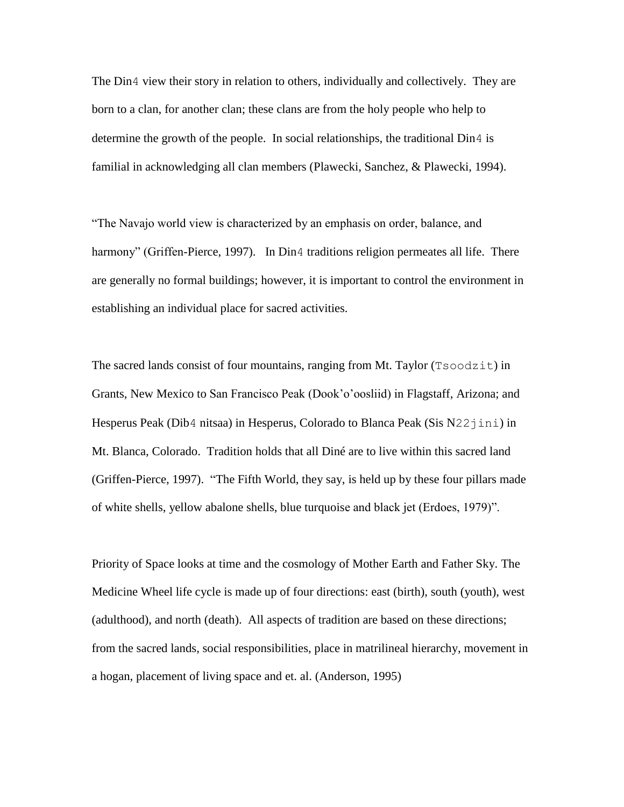The Din4 view their story in relation to others, individually and collectively. They are born to a clan, for another clan; these clans are from the holy people who help to determine the growth of the people. In social relationships, the traditional Din4 is familial in acknowledging all clan members (Plawecki, Sanchez, & Plawecki, 1994).

"The Navajo world view is characterized by an emphasis on order, balance, and harmony" (Griffen-Pierce, 1997). In Din4 traditions religion permeates all life. There are generally no formal buildings; however, it is important to control the environment in establishing an individual place for sacred activities.

The sacred lands consist of four mountains, ranging from Mt. Taylor (Tsoodzit) in Grants, New Mexico to San Francisco Peak (Dook'o'oosliid) in Flagstaff, Arizona; and Hesperus Peak (Dib4 nitsaa) in Hesperus, Colorado to Blanca Peak (Sis  $N22$ jini) in Mt. Blanca, Colorado. Tradition holds that all Diné are to live within this sacred land (Griffen-Pierce, 1997). "The Fifth World, they say, is held up by these four pillars made of white shells, yellow abalone shells, blue turquoise and black jet (Erdoes, 1979)".

Priority of Space looks at time and the cosmology of Mother Earth and Father Sky. The Medicine Wheel life cycle is made up of four directions: east (birth), south (youth), west (adulthood), and north (death). All aspects of tradition are based on these directions; from the sacred lands, social responsibilities, place in matrilineal hierarchy, movement in a hogan, placement of living space and et. al. (Anderson, 1995)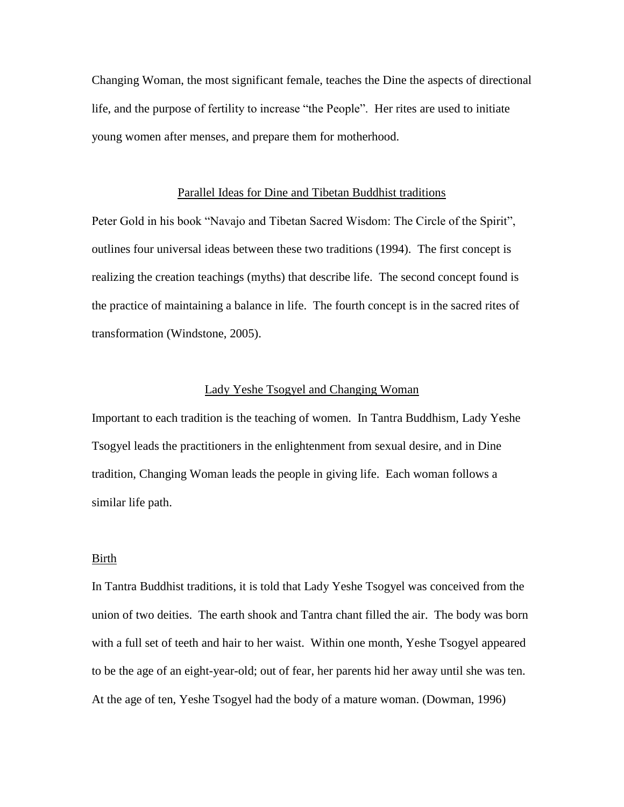Changing Woman, the most significant female, teaches the Dine the aspects of directional life, and the purpose of fertility to increase "the People". Her rites are used to initiate young women after menses, and prepare them for motherhood.

#### Parallel Ideas for Dine and Tibetan Buddhist traditions

Peter Gold in his book "Navajo and Tibetan Sacred Wisdom: The Circle of the Spirit", outlines four universal ideas between these two traditions (1994). The first concept is realizing the creation teachings (myths) that describe life. The second concept found is the practice of maintaining a balance in life. The fourth concept is in the sacred rites of transformation (Windstone, 2005).

#### Lady Yeshe Tsogyel and Changing Woman

Important to each tradition is the teaching of women. In Tantra Buddhism, Lady Yeshe Tsogyel leads the practitioners in the enlightenment from sexual desire, and in Dine tradition, Changing Woman leads the people in giving life. Each woman follows a similar life path.

#### Birth

In Tantra Buddhist traditions, it is told that Lady Yeshe Tsogyel was conceived from the union of two deities. The earth shook and Tantra chant filled the air. The body was born with a full set of teeth and hair to her waist. Within one month, Yeshe Tsogyel appeared to be the age of an eight-year-old; out of fear, her parents hid her away until she was ten. At the age of ten, Yeshe Tsogyel had the body of a mature woman. (Dowman, 1996)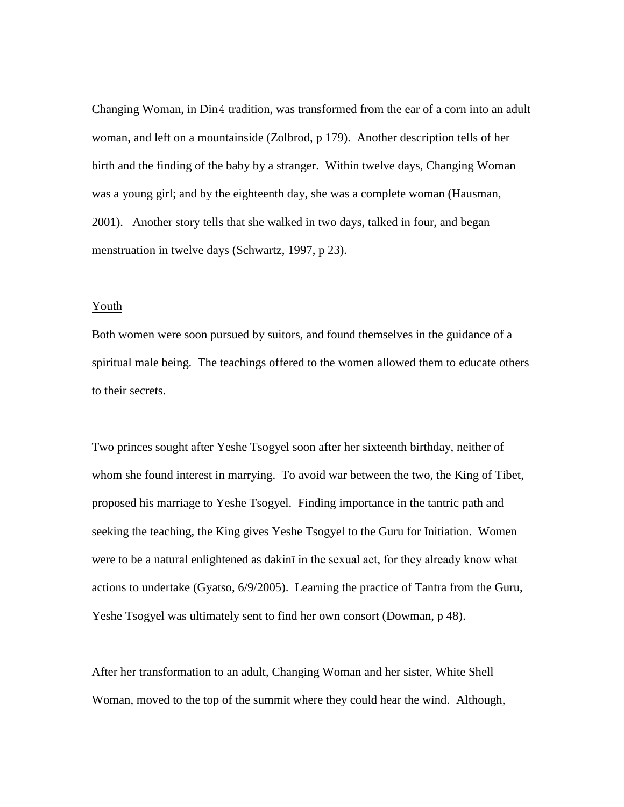Changing Woman, in Din4 tradition, was transformed from the ear of a corn into an adult woman, and left on a mountainside (Zolbrod, p 179). Another description tells of her birth and the finding of the baby by a stranger. Within twelve days, Changing Woman was a young girl; and by the eighteenth day, she was a complete woman (Hausman, 2001). Another story tells that she walked in two days, talked in four, and began menstruation in twelve days (Schwartz, 1997, p 23).

#### Youth

Both women were soon pursued by suitors, and found themselves in the guidance of a spiritual male being. The teachings offered to the women allowed them to educate others to their secrets.

Two princes sought after Yeshe Tsogyel soon after her sixteenth birthday, neither of whom she found interest in marrying. To avoid war between the two, the King of Tibet, proposed his marriage to Yeshe Tsogyel. Finding importance in the tantric path and seeking the teaching, the King gives Yeshe Tsogyel to the Guru for Initiation. Women were to be a natural enlightened as dakinī in the sexual act, for they already know what actions to undertake (Gyatso, 6/9/2005). Learning the practice of Tantra from the Guru, Yeshe Tsogyel was ultimately sent to find her own consort (Dowman, p 48).

After her transformation to an adult, Changing Woman and her sister, White Shell Woman, moved to the top of the summit where they could hear the wind. Although,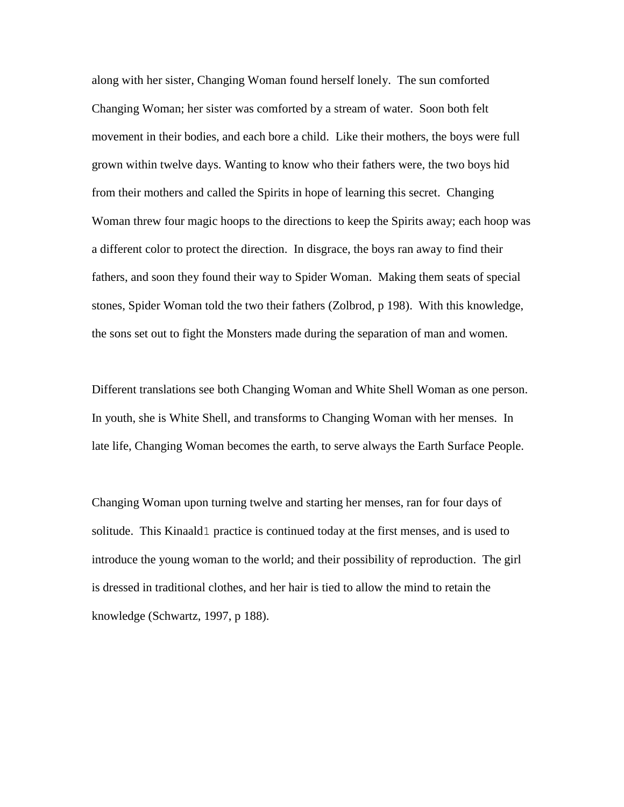along with her sister, Changing Woman found herself lonely. The sun comforted Changing Woman; her sister was comforted by a stream of water. Soon both felt movement in their bodies, and each bore a child. Like their mothers, the boys were full grown within twelve days. Wanting to know who their fathers were, the two boys hid from their mothers and called the Spirits in hope of learning this secret. Changing Woman threw four magic hoops to the directions to keep the Spirits away; each hoop was a different color to protect the direction. In disgrace, the boys ran away to find their fathers, and soon they found their way to Spider Woman. Making them seats of special stones, Spider Woman told the two their fathers (Zolbrod, p 198). With this knowledge, the sons set out to fight the Monsters made during the separation of man and women.

Different translations see both Changing Woman and White Shell Woman as one person. In youth, she is White Shell, and transforms to Changing Woman with her menses. In late life, Changing Woman becomes the earth, to serve always the Earth Surface People.

Changing Woman upon turning twelve and starting her menses, ran for four days of solitude. This Kinaald1 practice is continued today at the first menses, and is used to introduce the young woman to the world; and their possibility of reproduction. The girl is dressed in traditional clothes, and her hair is tied to allow the mind to retain the knowledge (Schwartz, 1997, p 188).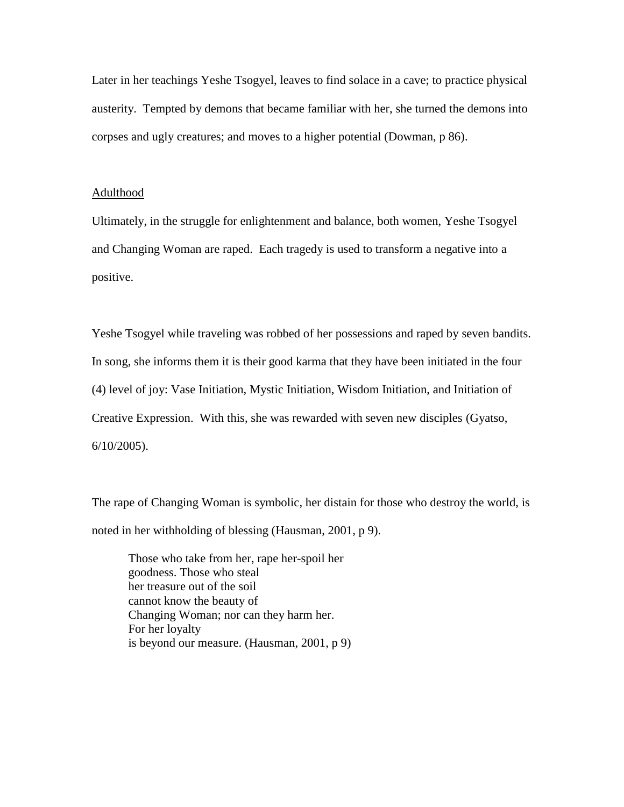Later in her teachings Yeshe Tsogyel, leaves to find solace in a cave; to practice physical austerity. Tempted by demons that became familiar with her, she turned the demons into corpses and ugly creatures; and moves to a higher potential (Dowman, p 86).

#### Adulthood

Ultimately, in the struggle for enlightenment and balance, both women, Yeshe Tsogyel and Changing Woman are raped. Each tragedy is used to transform a negative into a positive.

Yeshe Tsogyel while traveling was robbed of her possessions and raped by seven bandits. In song, she informs them it is their good karma that they have been initiated in the four (4) level of joy: Vase Initiation, Mystic Initiation, Wisdom Initiation, and Initiation of Creative Expression. With this, she was rewarded with seven new disciples (Gyatso, 6/10/2005).

The rape of Changing Woman is symbolic, her distain for those who destroy the world, is noted in her withholding of blessing (Hausman, 2001, p 9).

Those who take from her, rape her-spoil her goodness. Those who steal her treasure out of the soil cannot know the beauty of Changing Woman; nor can they harm her. For her loyalty is beyond our measure. (Hausman, 2001, p 9)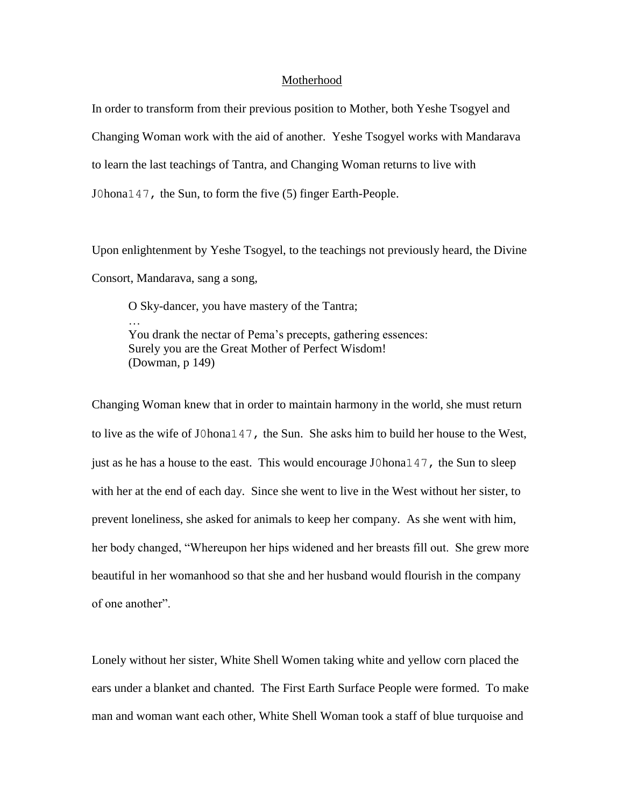#### Motherhood

In order to transform from their previous position to Mother, both Yeshe Tsogyel and Changing Woman work with the aid of another. Yeshe Tsogyel works with Mandarava to learn the last teachings of Tantra, and Changing Woman returns to live with J0hona147, the Sun, to form the five (5) finger Earth-People.

Upon enlightenment by Yeshe Tsogyel, to the teachings not previously heard, the Divine Consort, Mandarava, sang a song,

O Sky-dancer, you have mastery of the Tantra; … You drank the nectar of Pema's precepts, gathering essences: Surely you are the Great Mother of Perfect Wisdom! (Dowman, p 149)

Changing Woman knew that in order to maintain harmony in the world, she must return to live as the wife of J0hona147, the Sun. She asks him to build her house to the West, just as he has a house to the east. This would encourage J0hona147, the Sun to sleep with her at the end of each day. Since she went to live in the West without her sister, to prevent loneliness, she asked for animals to keep her company. As she went with him, her body changed, "Whereupon her hips widened and her breasts fill out. She grew more beautiful in her womanhood so that she and her husband would flourish in the company of one another".

Lonely without her sister, White Shell Women taking white and yellow corn placed the ears under a blanket and chanted. The First Earth Surface People were formed. To make man and woman want each other, White Shell Woman took a staff of blue turquoise and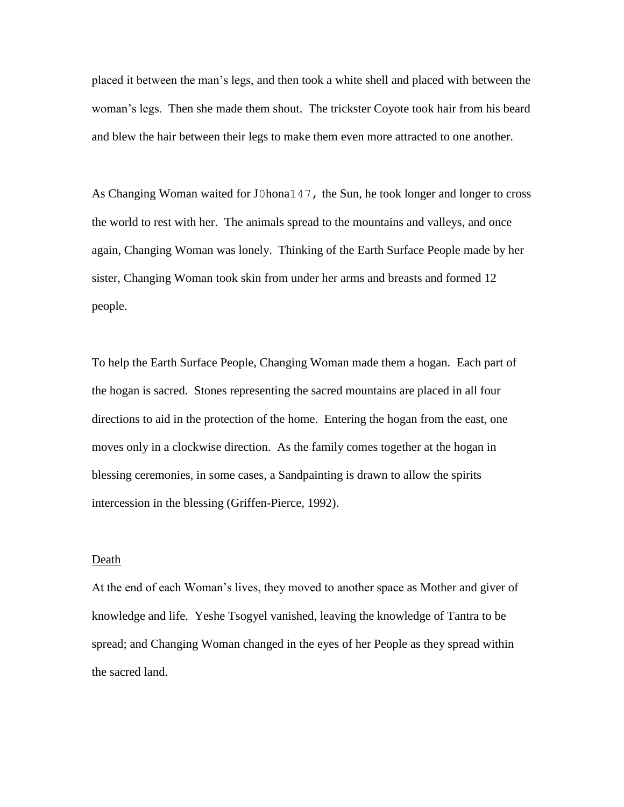placed it between the man's legs, and then took a white shell and placed with between the woman's legs. Then she made them shout. The trickster Coyote took hair from his beard and blew the hair between their legs to make them even more attracted to one another.

As Changing Woman waited for J0hona147, the Sun, he took longer and longer to cross the world to rest with her. The animals spread to the mountains and valleys, and once again, Changing Woman was lonely. Thinking of the Earth Surface People made by her sister, Changing Woman took skin from under her arms and breasts and formed 12 people.

To help the Earth Surface People, Changing Woman made them a hogan. Each part of the hogan is sacred. Stones representing the sacred mountains are placed in all four directions to aid in the protection of the home. Entering the hogan from the east, one moves only in a clockwise direction. As the family comes together at the hogan in blessing ceremonies, in some cases, a Sandpainting is drawn to allow the spirits intercession in the blessing (Griffen-Pierce, 1992).

#### Death

At the end of each Woman's lives, they moved to another space as Mother and giver of knowledge and life. Yeshe Tsogyel vanished, leaving the knowledge of Tantra to be spread; and Changing Woman changed in the eyes of her People as they spread within the sacred land.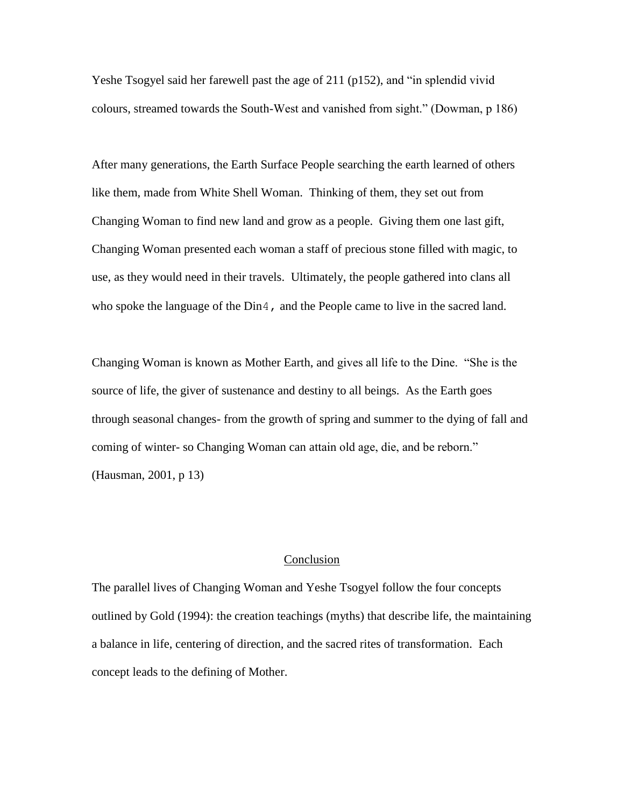Yeshe Tsogyel said her farewell past the age of 211 (p152), and "in splendid vivid colours, streamed towards the South-West and vanished from sight." (Dowman, p 186)

After many generations, the Earth Surface People searching the earth learned of others like them, made from White Shell Woman. Thinking of them, they set out from Changing Woman to find new land and grow as a people. Giving them one last gift, Changing Woman presented each woman a staff of precious stone filled with magic, to use, as they would need in their travels. Ultimately, the people gathered into clans all who spoke the language of the Din4, and the People came to live in the sacred land.

Changing Woman is known as Mother Earth, and gives all life to the Dine. "She is the source of life, the giver of sustenance and destiny to all beings. As the Earth goes through seasonal changes- from the growth of spring and summer to the dying of fall and coming of winter- so Changing Woman can attain old age, die, and be reborn." (Hausman, 2001, p 13)

#### Conclusion

The parallel lives of Changing Woman and Yeshe Tsogyel follow the four concepts outlined by Gold (1994): the creation teachings (myths) that describe life, the maintaining a balance in life, centering of direction, and the sacred rites of transformation. Each concept leads to the defining of Mother.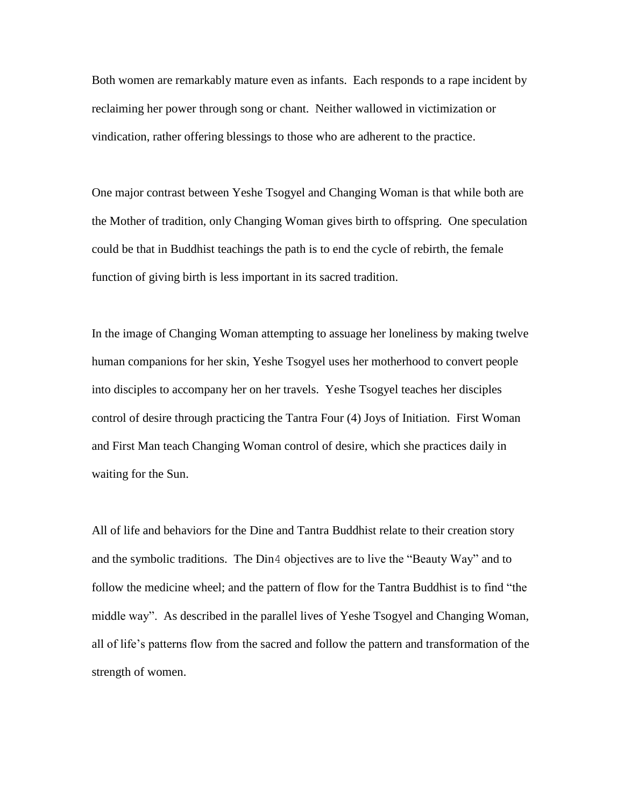Both women are remarkably mature even as infants. Each responds to a rape incident by reclaiming her power through song or chant. Neither wallowed in victimization or vindication, rather offering blessings to those who are adherent to the practice.

One major contrast between Yeshe Tsogyel and Changing Woman is that while both are the Mother of tradition, only Changing Woman gives birth to offspring. One speculation could be that in Buddhist teachings the path is to end the cycle of rebirth, the female function of giving birth is less important in its sacred tradition.

In the image of Changing Woman attempting to assuage her loneliness by making twelve human companions for her skin, Yeshe Tsogyel uses her motherhood to convert people into disciples to accompany her on her travels. Yeshe Tsogyel teaches her disciples control of desire through practicing the Tantra Four (4) Joys of Initiation. First Woman and First Man teach Changing Woman control of desire, which she practices daily in waiting for the Sun.

All of life and behaviors for the Dine and Tantra Buddhist relate to their creation story and the symbolic traditions. The Din4 objectives are to live the "Beauty Way" and to follow the medicine wheel; and the pattern of flow for the Tantra Buddhist is to find "the middle way". As described in the parallel lives of Yeshe Tsogyel and Changing Woman, all of life's patterns flow from the sacred and follow the pattern and transformation of the strength of women.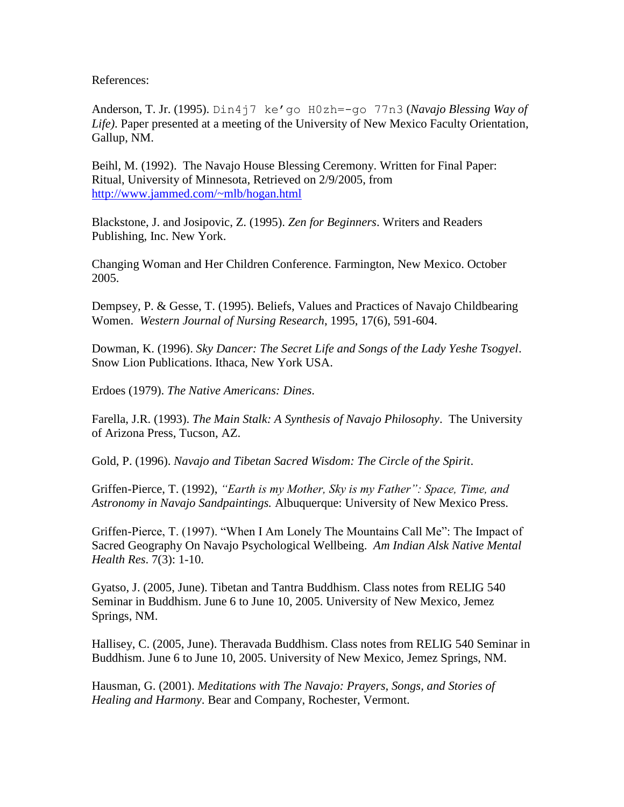References:

Anderson, T. Jr. (1995). Din4j7 ke'go H0zh=-go 77n3 (*Navajo Blessing Way of Life)*. Paper presented at a meeting of the University of New Mexico Faculty Orientation, Gallup, NM.

Beihl, M. (1992). The Navajo House Blessing Ceremony. Written for Final Paper: Ritual, University of Minnesota, Retrieved on 2/9/2005, from <http://www.jammed.com/~mlb/hogan.html>

Blackstone, J. and Josipovic, Z. (1995). *Zen for Beginners*. Writers and Readers Publishing, Inc. New York.

Changing Woman and Her Children Conference. Farmington, New Mexico. October 2005.

Dempsey, P. & Gesse, T. (1995). Beliefs, Values and Practices of Navajo Childbearing Women. *Western Journal of Nursing Research*, 1995, 17(6), 591-604.

Dowman, K. (1996). *Sky Dancer: The Secret Life and Songs of the Lady Yeshe Tsogyel*. Snow Lion Publications. Ithaca, New York USA.

Erdoes (1979). *The Native Americans: Dines*.

Farella, J.R. (1993). *The Main Stalk: A Synthesis of Navajo Philosophy*. The University of Arizona Press, Tucson, AZ.

Gold, P. (1996). *Navajo and Tibetan Sacred Wisdom: The Circle of the Spirit*.

Griffen-Pierce, T. (1992), *"Earth is my Mother, Sky is my Father": Space, Time, and Astronomy in Navajo Sandpaintings.* Albuquerque: University of New Mexico Press.

Griffen-Pierce, T. (1997). "When I Am Lonely The Mountains Call Me": The Impact of Sacred Geography On Navajo Psychological Wellbeing. *Am Indian Alsk Native Mental Health Res*. 7(3): 1-10.

Gyatso, J. (2005, June). Tibetan and Tantra Buddhism. Class notes from RELIG 540 Seminar in Buddhism. June 6 to June 10, 2005. University of New Mexico, Jemez Springs, NM.

Hallisey, C. (2005, June). Theravada Buddhism. Class notes from RELIG 540 Seminar in Buddhism. June 6 to June 10, 2005. University of New Mexico, Jemez Springs, NM.

Hausman, G. (2001). *Meditations with The Navajo: Prayers, Songs, and Stories of Healing and Harmony*. Bear and Company, Rochester, Vermont.